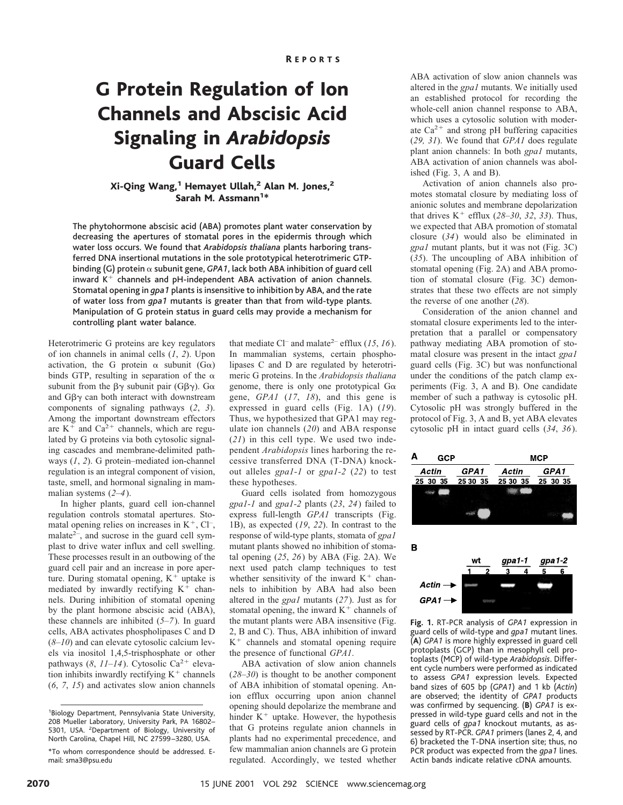# G Protein Regulation of Ion Channels and Abscisic Acid Signaling in *Arabidopsis* Guard Cells

## Xi-Qing Wang,<sup>1</sup> Hemayet Ullah,<sup>2</sup> Alan M. Jones,<sup>2</sup> Sarah M. Assmann<sup>1\*</sup>

The phytohormone abscisic acid (ABA) promotes plant water conservation by decreasing the apertures of stomatal pores in the epidermis through which water loss occurs. We found that *Arabidopsis thaliana* plants harboring transferred DNA insertional mutations in the sole prototypical heterotrimeric GTPbinding (G) protein  $\alpha$  subunit gene, *GPA1*, lack both ABA inhibition of guard cell inward  $K^+$  channels and pH-independent ABA activation of anion channels. Stomatal opening in *gpa1* plants is insensitive to inhibition by ABA, and the rate of water loss from *gpa1* mutants is greater than that from wild-type plants. Manipulation of G protein status in guard cells may provide a mechanism for controlling plant water balance.

Heterotrimeric G proteins are key regulators of ion channels in animal cells (*1*, *2*). Upon activation, the G protein  $\alpha$  subunit (G $\alpha$ ) binds GTP, resulting in separation of the  $\alpha$ subunit from the  $\beta\gamma$  subunit pair (G $\beta\gamma$ ). G $\alpha$ and  $G\beta\gamma$  can both interact with downstream components of signaling pathways (*2*, *3*). Among the important downstream effectors are  $K^+$  and  $Ca^{2+}$  channels, which are regulated by G proteins via both cytosolic signaling cascades and membrane-delimited pathways (*1*, *2*). G protein–mediated ion-channel regulation is an integral component of vision, taste, smell, and hormonal signaling in mammalian systems (*2*–*4*).

In higher plants, guard cell ion-channel regulation controls stomatal apertures. Stomatal opening relies on increases in  $K^+$ , Cl<sup>-</sup>, malate $2-$ , and sucrose in the guard cell symplast to drive water influx and cell swelling. These processes result in an outbowing of the guard cell pair and an increase in pore aperture. During stomatal opening,  $K^+$  uptake is mediated by inwardly rectifying  $K^+$  channels. During inhibition of stomatal opening by the plant hormone abscisic acid (ABA), these channels are inhibited (*5–7*). In guard cells, ABA activates phospholipases C and D (*8*–*10*) and can elevate cytosolic calcium levels via inositol 1,4,5-trisphosphate or other pathways (8, 11-14). Cytosolic Ca<sup>2+</sup> elevation inhibits inwardly rectifying  $\mathrm{K}^+$  channels (*6*, *7*, *15*) and activates slow anion channels

that mediate Cl<sup>–</sup> and malate<sup>2–</sup> efflux (15, 16). In mammalian systems, certain phospholipases C and D are regulated by heterotrimeric G proteins. In the *Arabidopsis thaliana* genome, there is only one prototypical  $G\alpha$ gene, *GPA1* (*17*, *18*), and this gene is expressed in guard cells (Fig. 1A) (*19*). Thus, we hypothesized that GPA1 may regulate ion channels (*20*) and ABA response (*21*) in this cell type. We used two independent *Arabidopsis* lines harboring the recessive transferred DNA (T-DNA) knockout alleles *gpa1-1* or *gpa1-2* (*22*) to test these hypotheses.

Guard cells isolated from homozygous *gpa1-1* and *gpa1-2* plants (*23*, *24*) failed to express full-length *GPA1* transcripts (Fig. 1B), as expected (*19*, *22*). In contrast to the response of wild-type plants, stomata of *gpa1* mutant plants showed no inhibition of stomatal opening (*25*, *26*) by ABA (Fig. 2A). We next used patch clamp techniques to test whether sensitivity of the inward  $K^+$  channels to inhibition by ABA had also been altered in the *gpa1* mutants (*27*). Just as for stomatal opening, the inward  $K^+$  channels of the mutant plants were ABA insensitive (Fig. 2, B and C). Thus, ABA inhibition of inward  $K^+$  channels and stomatal opening require the presence of functional *GPA1*.

ABA activation of slow anion channels (*28*–*30*) is thought to be another component of ABA inhibition of stomatal opening. Anion efflux occurring upon anion channel opening should depolarize the membrane and hinder  $K^+$  uptake. However, the hypothesis that G proteins regulate anion channels in plants had no experimental precedence, and few mammalian anion channels are G protein regulated. Accordingly, we tested whether

ABA activation of slow anion channels was altered in the *gpa1* mutants. We initially used an established protocol for recording the whole-cell anion channel response to ABA, which uses a cytosolic solution with moderate  $Ca^{2+}$  and strong pH buffering capacities (*29, 31*). We found that *GPA1* does regulate plant anion channels: In both *gpa1* mutants, ABA activation of anion channels was abolished (Fig. 3, A and B).

Activation of anion channels also promotes stomatal closure by mediating loss of anionic solutes and membrane depolarization that drives  $K^+$  efflux (28–30, 32, 33). Thus, we expected that ABA promotion of stomatal closure (*34*) would also be eliminated in *gpa1* mutant plants, but it was not (Fig. 3C) (*35*). The uncoupling of ABA inhibition of stomatal opening (Fig. 2A) and ABA promotion of stomatal closure (Fig. 3C) demonstrates that these two effects are not simply the reverse of one another (*28*).

Consideration of the anion channel and stomatal closure experiments led to the interpretation that a parallel or compensatory pathway mediating ABA promotion of stomatal closure was present in the intact *gpa1* guard cells (Fig. 3C) but was nonfunctional under the conditions of the patch clamp experiments (Fig. 3, A and B). One candidate member of such a pathway is cytosolic pH. Cytosolic pH was strongly buffered in the protocol of Fig. 3, A and B, yet ABA elevates cytosolic pH in intact guard cells (*34*, *36*).



**Fig. 1.** RT-PCR analysis of *GPA1* expression in guard cells of wild-type and *gpa1* mutant lines. (**A**) *GPA1* is more highly expressed in guard cell protoplasts (GCP) than in mesophyll cell protoplasts (MCP) of wild-type *Arabidopsis*. Different cycle numbers were performed as indicated to assess *GPA1* expression levels. Expected band sizes of 605 bp (*GPA1*) and 1 kb (*Actin*) are observed; the identity of *GPA1* products was confirmed by sequencing. (**B**) *GPA1* is expressed in wild-type guard cells and not in the guard cells of *gpa1* knockout mutants, as assessed by RT-PCR. *GPA1* primers (lanes 2, 4, and 6) bracketed the T-DNA insertion site; thus, no PCR product was expected from the *gpa1* lines. Actin bands indicate relative cDNA amounts.

<sup>1</sup> Biology Department, Pennsylvania State University, 208 Mueller Laboratory, University Park, PA 16802– 5301, USA. <sup>2</sup>Department of Biology, University of North Carolina, Chapel Hill, NC 27599 –3280, USA.

<sup>\*</sup>To whom correspondence should be addressed. Email: sma3@psu.edu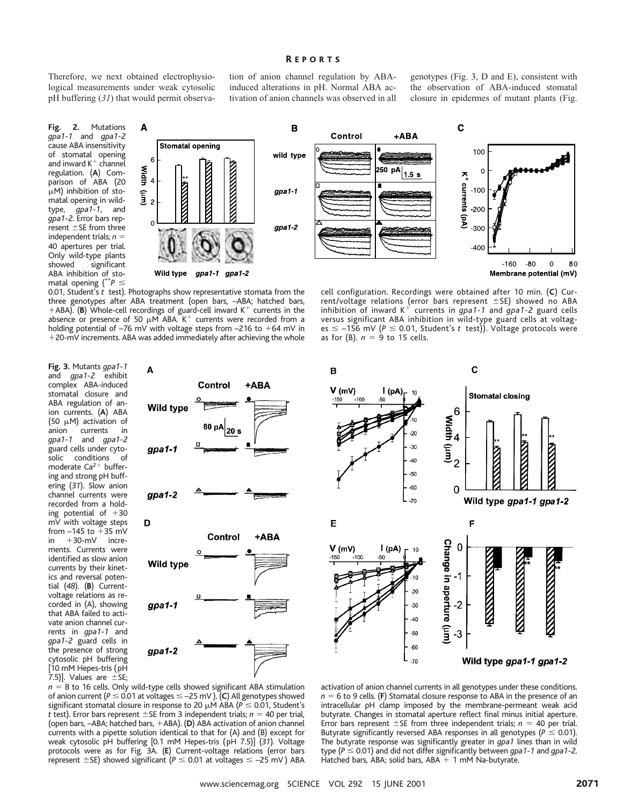### R EPORTS

Therefore, we next obtained electrophysiological measurements under weak cytosolic pH buffering (*31*) that would permit observa-

A

6

 $rac{8}{4}$ <br>4

 $\widehat{\mathbf{E}}_2$ 

 $\overline{\mathsf{A}}$ 

**Fig. 2.** Mutations *gpa1-1* and *gpa1-2* cause ABA insensitivity of stomatal opening and inward  $K^+$  channel regulation. (**A**) Comparison of ABA (20  $\mu$ M) inhibition of stomatal opening in wildtype, *gpa1-1*, and *gpa1-2*. Error bars rep $r$ esent  $\pm$ SE from three independent trials;  $n =$ 40 apertures per trial. Only wild-type plants showed significant ABA inhibition of stomatal opening  $(^{**}P \leq$ 

tion of anion channel regulation by ABAinduced alterations in pH. Normal ABA activation of anion channels was observed in all

genotypes (Fig. 3, D and E), consistent with the observation of ABA-induced stomatal closure in epidermes of mutant plants (Fig.



0.01, Student's *t* test). Photographs show representative stomata from the three genotypes after ABA treatment (open bars, –ABA; hatched bars, +ABA). (B) Whole-cell recordings of guard-cell inward K<sup>+</sup> currents in the absence or presence of 50  $\mu$ M ABA. K<sup>+</sup> currents were recorded from a holding potential of  $-76$  mV with voltage steps from  $-216$  to  $+64$  mV in +20-mV increments. ABA was added immediately after achieving the whole

Wild type

**Stomatal opening** 

**THE REAL PROPERTY** 

cell configuration. Recordings were obtained after 10 min. (**C**) Current/voltage relations (error bars represent ±SE) showed no ABA<br>inhibition of inward K<sup>+</sup> currents in *gpa1-1* and *gpa1-2* guard cells versus significant ABA inhibition in wild-type guard cells at voltages  $\le$  -156 mV ( $P \le$  0.01, Student's t test)). Voltage protocols were as for (B).  $n = 9$  to 15 cells.

**Fig. 3.** Mutants *gpa1-1* and *gpa1-2* exhibit complex ABA-induced stomatal closure and ABA regulation of anion currents. (**A**) ABA (50  $\mu$ M) activation of anion currents in<br>qpa1-1 and qpa1-2 *gpa1-1* and *gpa1-2* guard cells under cytosolic conditions of moderate  $Ca<sup>2+</sup>$  buffering and strong pH buffering (*31*). Slow anion channel currents were recorded from a holding potential of  $+30$ mV with voltage steps from  $-145$  to  $+35$  mV in  $+30$ -mV increments. Currents were identified as slow anion currents by their kinetics and reversal potential (*48*). (**B**) Currentvoltage relations as recorded in (A), showing that ABA failed to activate anion channel currents in *gpa1-1* and *gpa1-2* guard cells in the presence of strong cytosolic pH buffering [10 mM Hepes-tris (pH 7.5)]. Values are  $\pm$ SE;





 $n = 8$  to 16 cells. Only wild-type cells showed significant ABA stimulation of anion current ( $P \le 0.01$  at voltages  $\le -25$  mV). (**C**) All genotypes showed significant stomatal closure in response to 20  $\mu$ M ABA ( $P \le 0.01$ , Student's *t* test). Error bars represent  $\pm$ SE from 3 independent trials; *n* = 40 per trial, (open bars, –ABA; hatched bars, +ABA). (**D**) ABA activation of anion channel currents with a pipette solution identical to that for (A) and (B) except for weak cytosolic pH buffering [0.1 mM Hepes-tris (pH 7.5)] (*31*). Voltage protocols were as for Fig. 3A. (**E**) Current-voltage relations (error bars represent  $\pm$  SE) showed significant ( $P \le 0.01$  at voltages  $\le -25$  mV) ABA

activation of anion channel currents in all genotypes under these conditions.  $n = 6$  to 9 cells. (**F**) Stomatal closure response to ABA in the presence of an intracellular pH clamp imposed by the membrane-permeant weak acid butyrate. Changes in stomatal aperture reflect final minus initial aperture. Error bars represent  $\pm$ SE from three independent trials;  $n = 40$  per trial. Butyrate significantly reversed ABA responses in all genotypes ( $P \le 0.01$ ). The butyrate response was significantly greater in *gpa1* lines than in wild type ( $P \le 0.01$ ) and did not differ significantly between *qpa1-1* and *qpa1-2*. Hatched bars, ABA; solid bars, ABA  $+$  1 mM Na-butyrate.